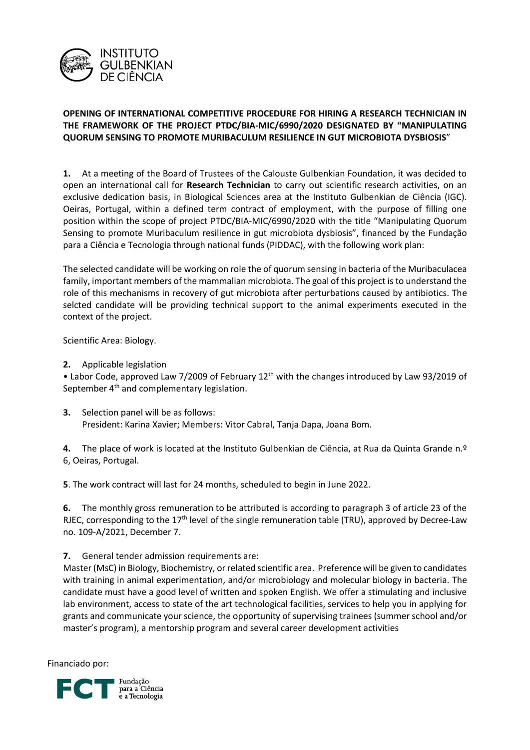

## **OPENING OF INTERNATIONAL COMPETITIVE PROCEDURE FOR HIRING A RESEARCH TECHNICIAN IN THE FRAMEWORK OF THE PROJECT PTDC/BIA-MIC/6990/2020 DESIGNATED BY "MANIPULATING QUORUM SENSING TO PROMOTE MURIBACULUM RESILIENCE IN GUT MICROBIOTA DYSBIOSIS**"

**1.** At a meeting of the Board of Trustees of the Calouste Gulbenkian Foundation, it was decided to open an international call for **Research Technician** to carry out scientific research activities, on an exclusive dedication basis, in Biological Sciences area at the Instituto Gulbenkian de Ciência (IGC). Oeiras, Portugal, within a defined term contract of employment, with the purpose of filling one position within the scope of project PTDC/BIA-MIC/6990/2020 with the title "Manipulating Quorum Sensing to promote Muribaculum resilience in gut microbiota dysbiosis", financed by the Fundação para a Ciência e Tecnologia through national funds (PIDDAC), with the following work plan:

The selected candidate will be working on role the of quorum sensing in bacteria of the Muribaculacea family, important members of the mammalian microbiota. The goal of this project is to understand the role of this mechanisms in recovery of gut microbiota after perturbations caused by antibiotics. The selcted candidate will be providing technical support to the animal experiments executed in the context of the project.

Scientific Area: Biology.

## **2.** Applicable legislation

• Labor Code, approved Law 7/2009 of February 12<sup>th</sup> with the changes introduced by Law 93/2019 of September 4<sup>th</sup> and complementary legislation.

**3.** Selection panel will be as follows: President: Karina Xavier; Members: Vitor Cabral, Tanja Dapa, Joana Bom.

**4.** The place of work is located at the Instituto Gulbenkian de Ciência, at Rua da Quinta Grande n.º 6, Oeiras, Portugal.

**5**. The work contract will last for 24 months, scheduled to begin in June 2022.

**6.** The monthly gross remuneration to be attributed is according to paragraph 3 of article 23 of the RJEC, corresponding to the 17<sup>th</sup> level of the single remuneration table (TRU), approved by Decree-Law no. 109-A/2021, December 7.

## **7.** General tender admission requirements are:

Master (MsC) in Biology, Biochemistry, or related scientific area. Preference will be given to candidates with training in animal experimentation, and/or microbiology and molecular biology in bacteria. The candidate must have a good level of written and spoken English. We offer a stimulating and inclusive lab environment, access to state of the art technological facilities, services to help you in applying for grants and communicate your science, the opportunity of supervising trainees (summer school and/or master's program), a mentorship program and several career development activities

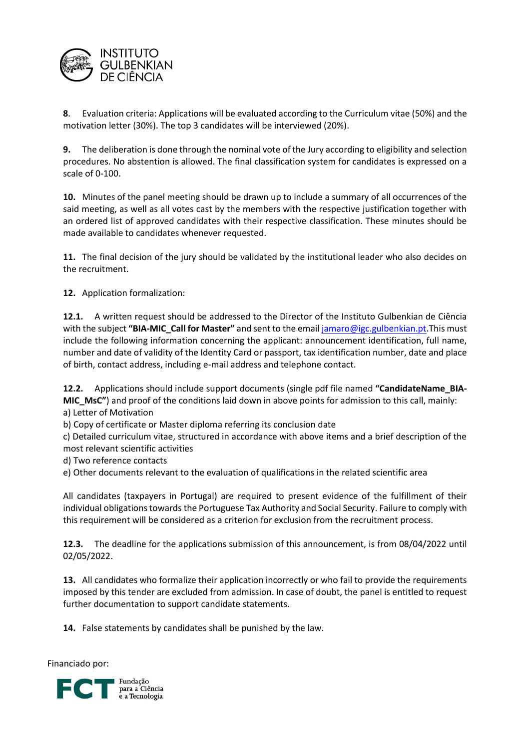

**8**. Evaluation criteria: Applications will be evaluated according to the Curriculum vitae (50%) and the motivation letter (30%). The top 3 candidates will be interviewed (20%).

**9.** The deliberation is done through the nominal vote of the Jury according to eligibility and selection procedures. No abstention is allowed. The final classification system for candidates is expressed on a scale of 0-100.

**10.** Minutes of the panel meeting should be drawn up to include a summary of all occurrences of the said meeting, as well as all votes cast by the members with the respective justification together with an ordered list of approved candidates with their respective classification. These minutes should be made available to candidates whenever requested.

**11.** The final decision of the jury should be validated by the institutional leader who also decides on the recruitment.

**12.** Application formalization:

**12.1.** A written request should be addressed to the Director of the Instituto Gulbenkian de Ciência with the subject **"BIA-MIC\_Call for Master"** and sent to the emai[l jamaro@igc.gulbenkian.pt.](mailto:jamaro@igc.gulbenkian.pt)This must include the following information concerning the applicant: announcement identification, full name, number and date of validity of the Identity Card or passport, tax identification number, date and place of birth, contact address, including e-mail address and telephone contact.

**12.2.** Applications should include support documents (single pdf file named **"CandidateName\_BIA-MIC\_MsC"**) and proof of the conditions laid down in above points for admission to this call, mainly:

a) Letter of Motivation

b) Copy of certificate or Master diploma referring its conclusion date

c) Detailed curriculum vitae, structured in accordance with above items and a brief description of the most relevant scientific activities

d) Two reference contacts

e) Other documents relevant to the evaluation of qualifications in the related scientific area

All candidates (taxpayers in Portugal) are required to present evidence of the fulfillment of their individual obligations towards the Portuguese Tax Authority and Social Security. Failure to comply with this requirement will be considered as a criterion for exclusion from the recruitment process.

**12.3.** The deadline for the applications submission of this announcement, is from 08/04/2022 until 02/05/2022.

**13.** All candidates who formalize their application incorrectly or who fail to provide the requirements imposed by this tender are excluded from admission. In case of doubt, the panel is entitled to request further documentation to support candidate statements.

**14.** False statements by candidates shall be punished by the law.

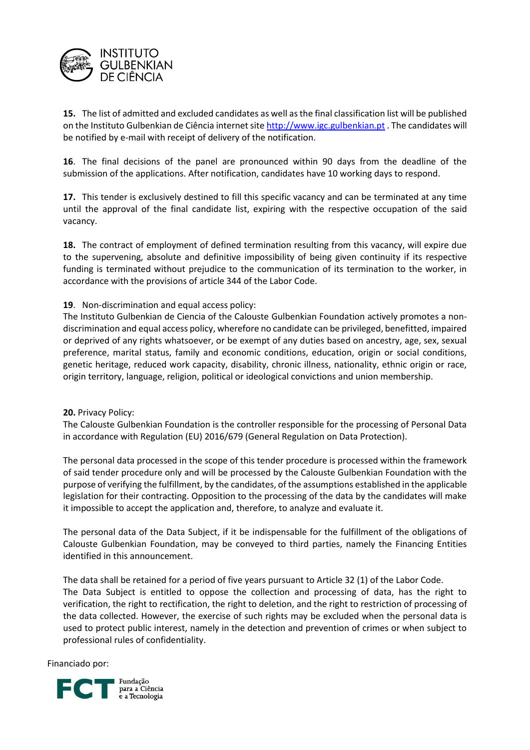

**15.** The list of admitted and excluded candidates as well as the final classification list will be published on the Instituto Gulbenkian de Ciência internet sit[e http://www.igc.gulbenkian.pt](http://www.igc.gulbenkian.pt/). The candidates will be notified by e-mail with receipt of delivery of the notification.

**16**. The final decisions of the panel are pronounced within 90 days from the deadline of the submission of the applications. After notification, candidates have 10 working days to respond.

**17.** This tender is exclusively destined to fill this specific vacancy and can be terminated at any time until the approval of the final candidate list, expiring with the respective occupation of the said vacancy.

**18.** The contract of employment of defined termination resulting from this vacancy, will expire due to the supervening, absolute and definitive impossibility of being given continuity if its respective funding is terminated without prejudice to the communication of its termination to the worker, in accordance with the provisions of article 344 of the Labor Code.

**19**. Non-discrimination and equal access policy:

The Instituto Gulbenkian de Ciencia of the Calouste Gulbenkian Foundation actively promotes a nondiscrimination and equal access policy, wherefore no candidate can be privileged, benefitted, impaired or deprived of any rights whatsoever, or be exempt of any duties based on ancestry, age, sex, sexual preference, marital status, family and economic conditions, education, origin or social conditions, genetic heritage, reduced work capacity, disability, chronic illness, nationality, ethnic origin or race, origin territory, language, religion, political or ideological convictions and union membership.

**20.** Privacy Policy:

The Calouste Gulbenkian Foundation is the controller responsible for the processing of Personal Data in accordance with Regulation (EU) 2016/679 (General Regulation on Data Protection).

The personal data processed in the scope of this tender procedure is processed within the framework of said tender procedure only and will be processed by the Calouste Gulbenkian Foundation with the purpose of verifying the fulfillment, by the candidates, of the assumptions established in the applicable legislation for their contracting. Opposition to the processing of the data by the candidates will make it impossible to accept the application and, therefore, to analyze and evaluate it.

The personal data of the Data Subject, if it be indispensable for the fulfillment of the obligations of Calouste Gulbenkian Foundation, may be conveyed to third parties, namely the Financing Entities identified in this announcement.

The data shall be retained for a period of five years pursuant to Article 32 (1) of the Labor Code. The Data Subject is entitled to oppose the collection and processing of data, has the right to verification, the right to rectification, the right to deletion, and the right to restriction of processing of the data collected. However, the exercise of such rights may be excluded when the personal data is used to protect public interest, namely in the detection and prevention of crimes or when subject to professional rules of confidentiality.